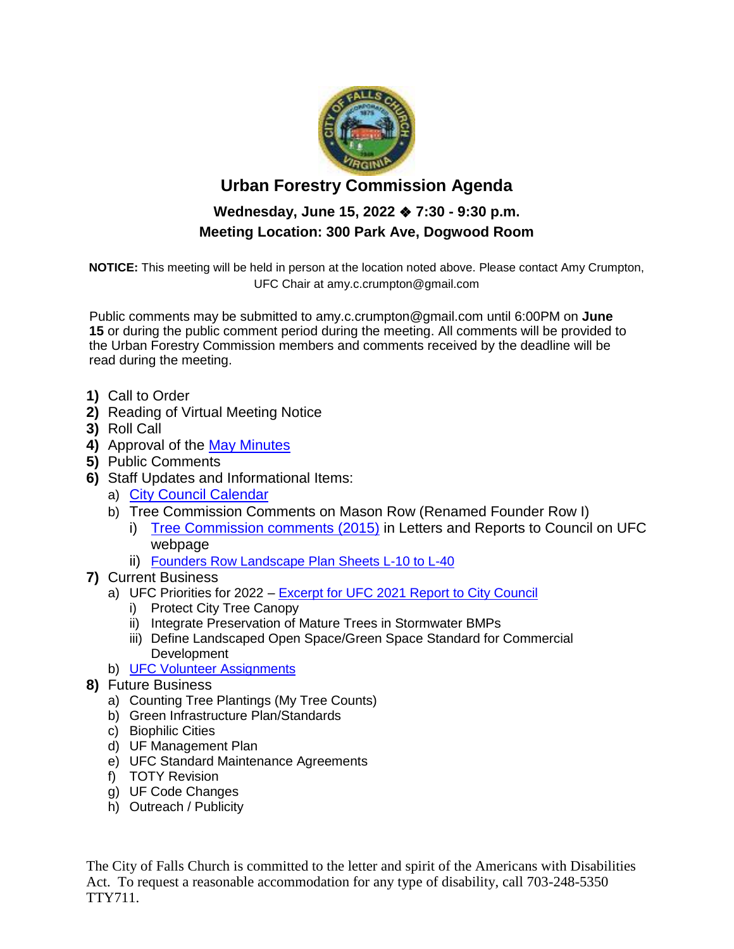

## **Urban Forestry Commission Agenda**

## **Wednesday, June 15, 2022** ❖ **7:30 - 9:30 p.m. Meeting Location: 300 Park Ave, Dogwood Room**

**NOTICE:** This meeting will be held in person at the location noted above. Please contact Amy Crumpton, UFC Chair at amy.c.crumpton@gmail.com

Public comments may be submitted to amy.c.crumpton@gmail.com until 6:00PM on **June 15** or during the public comment period during the meeting. All comments will be provided to the Urban Forestry Commission members and comments received by the deadline will be read during the meeting.

- **1)** Call to Order
- **2)** Reading of Virtual Meeting Notice
- **3)** Roll Call
- **4)** Approval of the [May Minutes](http://fallschurchva.gov/DocumentCenter/View/16375/2022-5-18-UFC-Minutes---DRAFT)
- **5)** Public Comments
- **6)** Staff Updates and Informational Items:
	- a) [City Council Calendar](https://www.fallschurchva.gov/DocumentCenter/View/16378/Council-Schedule)
	- b) Tree Commission Comments on Mason Row (Renamed Founder Row I)
		- i) [Tree Commission comments \(2015\)](http://fallschurchva.gov/414/Urban-Forestry-Commission) in Letters and Reports to Council on UFC webpage
		- ii) [Founders Row Landscape Plan Sheets L-10 to L-40](http://fallschurchva.gov/DocumentCenter/View/10436/Landscape-Plan-Sheets-L10-to-L40)
- **7)** Current Business
	- a) UFC Priorities for 2022 [Excerpt for UFC 2021 Report to City Council](http://fallschurchva.gov/DocumentCenter/View/16376/2022-06-Excerpt-of-Priorities-from-2021-UFC-Report-to-Council)
		- i) Protect City Tree Canopy
		- ii) Integrate Preservation of Mature Trees in Stormwater BMPs
		- iii) Define Landscaped Open Space/Green Space Standard for Commercial **Development**
	- b) [UFC Volunteer Assignments](https://www.fallschurchva.gov/DocumentCenter/View/16307/UFC-Ongoing-Priorities-and-Volunteer-Assignments)
- **8)** Future Business
	- a) Counting Tree Plantings (My Tree Counts)
	- b) Green Infrastructure Plan/Standards
	- c) Biophilic Cities
	- d) UF Management Plan
	- e) UFC Standard Maintenance Agreements
	- f) TOTY Revision
	- g) UF Code Changes
	- h) Outreach / Publicity

The City of Falls Church is committed to the letter and spirit of the Americans with Disabilities Act. To request a reasonable accommodation for any type of disability, call 703-248-5350 TTY711.